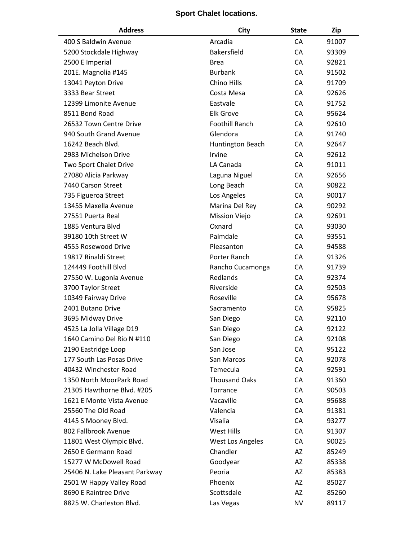## **Sport Chalet locations.**

| <b>Address</b>                 | City                  | <b>State</b> | Zip   |
|--------------------------------|-----------------------|--------------|-------|
| 400 S Baldwin Avenue           | Arcadia               | CA           | 91007 |
| 5200 Stockdale Highway         | <b>Bakersfield</b>    | CA           | 93309 |
| 2500 E Imperial                | <b>Brea</b>           | CA           | 92821 |
| 201E. Magnolia #145            | <b>Burbank</b>        | CA           | 91502 |
| 13041 Peyton Drive             | Chino Hills           | CA           | 91709 |
| 3333 Bear Street               | Costa Mesa            | CA           | 92626 |
| 12399 Limonite Avenue          | Eastvale              | CA           | 91752 |
| 8511 Bond Road                 | <b>Elk Grove</b>      | CA           | 95624 |
| 26532 Town Centre Drive        | <b>Foothill Ranch</b> | CA           | 92610 |
| 940 South Grand Avenue         | Glendora              | CA           | 91740 |
| 16242 Beach Blvd.              | Huntington Beach      | CA           | 92647 |
| 2983 Michelson Drive           | Irvine                | CA           | 92612 |
| Two Sport Chalet Drive         | LA Canada             | CA           | 91011 |
| 27080 Alicia Parkway           | Laguna Niguel         | CA           | 92656 |
| 7440 Carson Street             | Long Beach            | CA           | 90822 |
| 735 Figueroa Street            | Los Angeles           | CA           | 90017 |
| 13455 Maxella Avenue           | Marina Del Rey        | CA           | 90292 |
| 27551 Puerta Real              | <b>Mission Viejo</b>  | CA           | 92691 |
| 1885 Ventura Blvd              | Oxnard                | CA           | 93030 |
| 39180 10th Street W            | Palmdale              | CA           | 93551 |
| 4555 Rosewood Drive            | Pleasanton            | CA           | 94588 |
| 19817 Rinaldi Street           | Porter Ranch          | CA           | 91326 |
| 124449 Foothill Blvd           | Rancho Cucamonga      | CA           | 91739 |
| 27550 W. Lugonia Avenue        | Redlands              | CA           | 92374 |
| 3700 Taylor Street             | Riverside             | CA           | 92503 |
| 10349 Fairway Drive            | Roseville             | CA           | 95678 |
| 2401 Butano Drive              | Sacramento            | CA           | 95825 |
| 3695 Midway Drive              | San Diego             | CA           | 92110 |
| 4525 La Jolla Village D19      | San Diego             | <b>CA</b>    | 92122 |
| 1640 Camino Del Rio N #110     | San Diego             | CA           | 92108 |
| 2190 Eastridge Loop            | San Jose              | CA           | 95122 |
| 177 South Las Posas Drive      | San Marcos            | CA           | 92078 |
| 40432 Winchester Road          | Temecula              | CA           | 92591 |
| 1350 North MoorPark Road       | <b>Thousand Oaks</b>  | CA           | 91360 |
| 21305 Hawthorne Blvd. #205     | Torrance              | CA           | 90503 |
| 1621 E Monte Vista Avenue      | Vacaville             | CA           | 95688 |
| 25560 The Old Road             | Valencia              | CA           | 91381 |
| 4145 S Mooney Blvd.            | Visalia               | CA           | 93277 |
| 802 Fallbrook Avenue           | West Hills            | CA           | 91307 |
| 11801 West Olympic Blvd.       | West Los Angeles      | CA           | 90025 |
| 2650 E Germann Road            | Chandler              | AZ           | 85249 |
| 15277 W McDowell Road          | Goodyear              | AZ           | 85338 |
| 25406 N. Lake Pleasant Parkway | Peoria                | AZ           | 85383 |
| 2501 W Happy Valley Road       | Phoenix               | AZ           | 85027 |
| 8690 E Raintree Drive          | Scottsdale            | AZ           | 85260 |
| 8825 W. Charleston Blvd.       | Las Vegas             | NV           | 89117 |